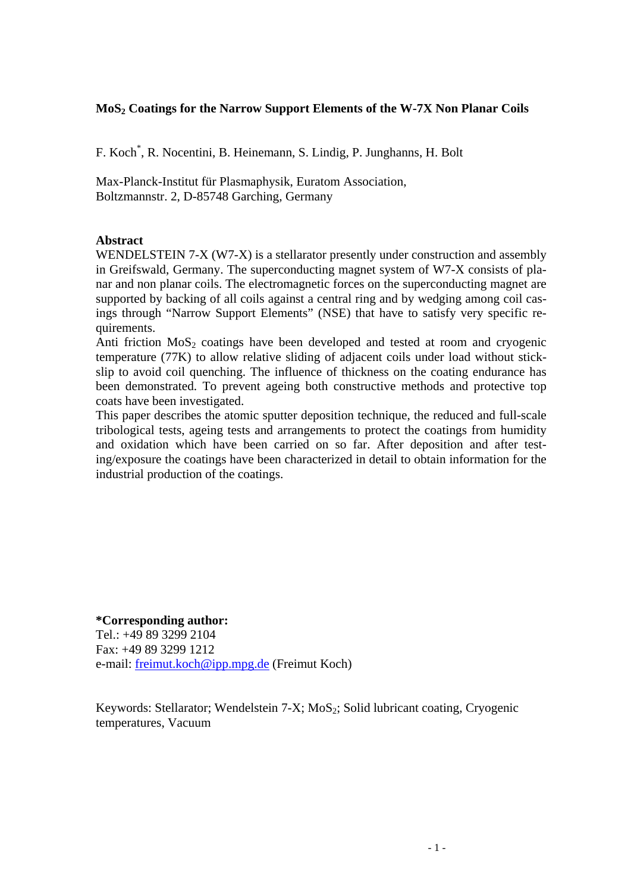## **MoS2 Coatings for the Narrow Support Elements of the W-7X Non Planar Coils**

F. Koch\* , R. Nocentini, B. Heinemann, S. Lindig, P. Junghanns, H. Bolt

Max-Planck-Institut für Plasmaphysik, Euratom Association, Boltzmannstr. 2, D-85748 Garching, Germany

#### **Abstract**

WENDELSTEIN 7-X (W7-X) is a stellarator presently under construction and assembly in Greifswald, Germany. The superconducting magnet system of W7-X consists of planar and non planar coils. The electromagnetic forces on the superconducting magnet are supported by backing of all coils against a central ring and by wedging among coil casings through "Narrow Support Elements" (NSE) that have to satisfy very specific requirements.

Anti friction  $MoS<sub>2</sub>$  coatings have been developed and tested at room and cryogenic temperature (77K) to allow relative sliding of adjacent coils under load without stickslip to avoid coil quenching. The influence of thickness on the coating endurance has been demonstrated. To prevent ageing both constructive methods and protective top coats have been investigated.

This paper describes the atomic sputter deposition technique, the reduced and full-scale tribological tests, ageing tests and arrangements to protect the coatings from humidity and oxidation which have been carried on so far. After deposition and after testing/exposure the coatings have been characterized in detail to obtain information for the industrial production of the coatings.

**\*Corresponding author:**  Tel $. +498932992104$ Fax: +49 89 3299 1212 e-mail: freimut.koch@ipp.mpg.de (Freimut Koch)

Keywords: Stellarator; Wendelstein  $7-X$ ; MoS<sub>2</sub>; Solid lubricant coating, Cryogenic temperatures, Vacuum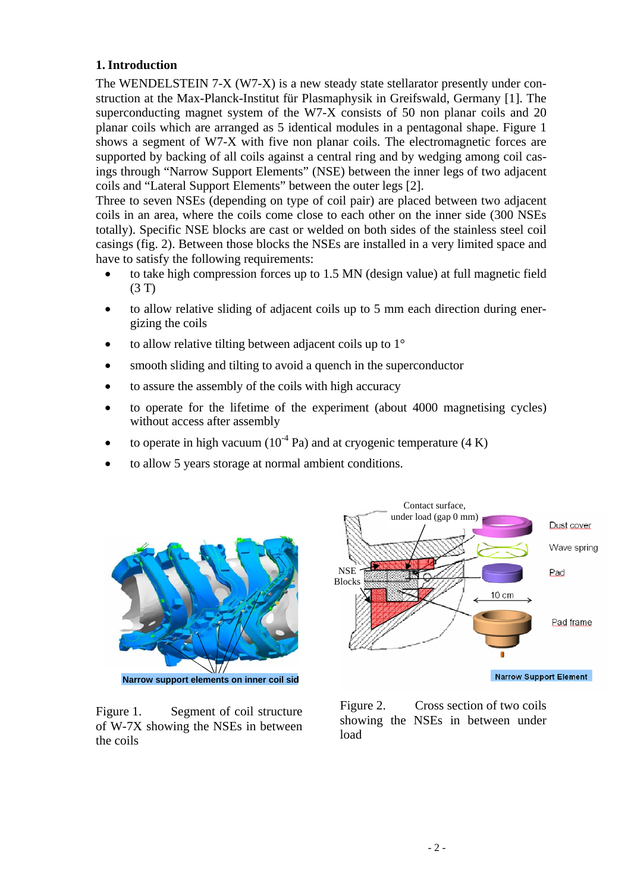# **1. Introduction**

The WENDELSTEIN 7-X (W7-X) is a new steady state stellarator presently under construction at the Max-Planck-Institut für Plasmaphysik in Greifswald, Germany [1]. The superconducting magnet system of the W7-X consists of 50 non planar coils and 20 planar coils which are arranged as 5 identical modules in a pentagonal shape. Figure 1 shows a segment of W7-X with five non planar coils. The electromagnetic forces are supported by backing of all coils against a central ring and by wedging among coil casings through "Narrow Support Elements" (NSE) between the inner legs of two adjacent coils and "Lateral Support Elements" between the outer legs [2].

Three to seven NSEs (depending on type of coil pair) are placed between two adjacent coils in an area, where the coils come close to each other on the inner side (300 NSEs totally). Specific NSE blocks are cast or welded on both sides of the stainless steel coil casings (fig. 2). Between those blocks the NSEs are installed in a very limited space and have to satisfy the following requirements:

- to take high compression forces up to 1.5 MN (design value) at full magnetic field (3 T)
- to allow relative sliding of adjacent coils up to 5 mm each direction during energizing the coils
- to allow relative tilting between adjacent coils up to  $1^\circ$
- smooth sliding and tilting to avoid a quench in the superconductor
- to assure the assembly of the coils with high accuracy
- to operate for the lifetime of the experiment (about 4000 magnetising cycles) without access after assembly
- to operate in high vacuum ( $10^{-4}$  Pa) and at cryogenic temperature (4 K)
- to allow 5 years storage at normal ambient conditions.



**Narrow support elements on inner coil sid**

Figure 1. Segment of coil structure of W-7X showing the NSEs in between the coils



Figure 2. Cross section of two coils showing the NSEs in between under load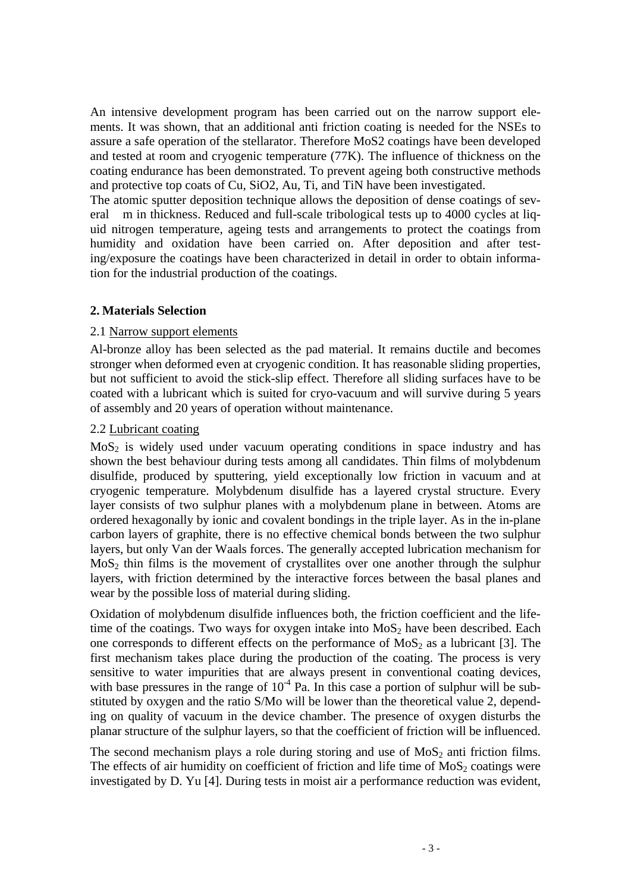An intensive development program has been carried out on the narrow support elements. It was shown, that an additional anti friction coating is needed for the NSEs to assure a safe operation of the stellarator. Therefore MoS2 coatings have been developed and tested at room and cryogenic temperature (77K). The influence of thickness on the coating endurance has been demonstrated. To prevent ageing both constructive methods and protective top coats of Cu, SiO2, Au, Ti, and TiN have been investigated.

The atomic sputter deposition technique allows the deposition of dense coatings of several m in thickness. Reduced and full-scale tribological tests up to 4000 cycles at liquid nitrogen temperature, ageing tests and arrangements to protect the coatings from humidity and oxidation have been carried on. After deposition and after testing/exposure the coatings have been characterized in detail in order to obtain information for the industrial production of the coatings.

## **2. Materials Selection**

## 2.1 Narrow support elements

Al-bronze alloy has been selected as the pad material. It remains ductile and becomes stronger when deformed even at cryogenic condition. It has reasonable sliding properties, but not sufficient to avoid the stick-slip effect. Therefore all sliding surfaces have to be coated with a lubricant which is suited for cryo-vacuum and will survive during 5 years of assembly and 20 years of operation without maintenance.

## 2.2 Lubricant coating

 $MoS<sub>2</sub>$  is widely used under vacuum operating conditions in space industry and has shown the best behaviour during tests among all candidates. Thin films of molybdenum disulfide, produced by sputtering, yield exceptionally low friction in vacuum and at cryogenic temperature. Molybdenum disulfide has a layered crystal structure. Every layer consists of two sulphur planes with a molybdenum plane in between. Atoms are ordered hexagonally by ionic and covalent bondings in the triple layer. As in the in-plane carbon layers of graphite, there is no effective chemical bonds between the two sulphur layers, but only Van der Waals forces. The generally accepted lubrication mechanism for  $MoS<sub>2</sub>$  thin films is the movement of crystallites over one another through the sulphur layers, with friction determined by the interactive forces between the basal planes and wear by the possible loss of material during sliding.

Oxidation of molybdenum disulfide influences both, the friction coefficient and the lifetime of the coatings. Two ways for oxygen intake into  $MoS<sub>2</sub>$  have been described. Each one corresponds to different effects on the performance of  $MoS<sub>2</sub>$  as a lubricant [3]. The first mechanism takes place during the production of the coating. The process is very sensitive to water impurities that are always present in conventional coating devices, with base pressures in the range of  $10^{-4}$  Pa. In this case a portion of sulphur will be substituted by oxygen and the ratio S/Mo will be lower than the theoretical value 2, depending on quality of vacuum in the device chamber. The presence of oxygen disturbs the planar structure of the sulphur layers, so that the coefficient of friction will be influenced.

The second mechanism plays a role during storing and use of  $MoS<sub>2</sub>$  anti friction films. The effects of air humidity on coefficient of friction and life time of  $MoS<sub>2</sub>$  coatings were investigated by D. Yu [4]. During tests in moist air a performance reduction was evident,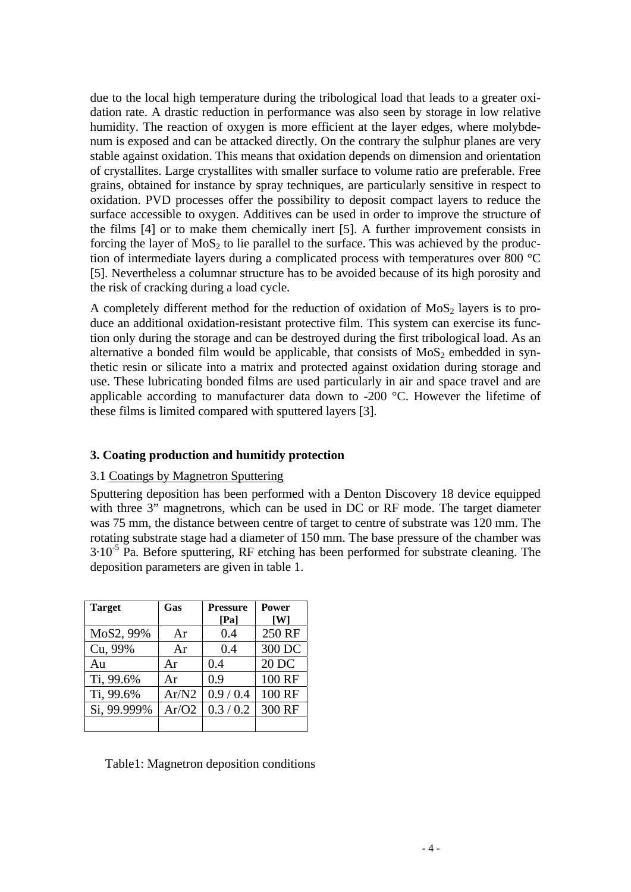due to the local high temperature during the tribological load that leads to a greater oxidation rate. A drastic reduction in performance was also seen by storage in low relative humidity. The reaction of oxygen is more efficient at the layer edges, where molybdenum is exposed and can be attacked directly. On the contrary the sulphur planes are very stable against oxidation. This means that oxidation depends on dimension and orientation of crystallites. Large crystallites with smaller surface to volume ratio are preferable. Free grains, obtained for instance by spray techniques, are particularly sensitive in respect to oxidation. PVD processes offer the possibility to deposit compact layers to reduce the surface accessible to oxygen. Additives can be used in order to improve the structure of the films [4] or to make them chemically inert [5]. A further improvement consists in forcing the layer of  $MoS<sub>2</sub>$  to lie parallel to the surface. This was achieved by the production of intermediate layers during a complicated process with temperatures over 800 °C [5]. Nevertheless a columnar structure has to be avoided because of its high porosity and the risk of cracking during a load cycle.

A completely different method for the reduction of oxidation of  $MoS<sub>2</sub>$  layers is to produce an additional oxidation-resistant protective film. This system can exercise its function only during the storage and can be destroyed during the first tribological load. As an alternative a bonded film would be applicable, that consists of  $MoS<sub>2</sub>$  embedded in synthetic resin or silicate into a matrix and protected against oxidation during storage and use. These lubricating bonded films are used particularly in air and space travel and are applicable according to manufacturer data down to -200 °C. However the lifetime of these films is limited compared with sputtered layers [3].

# **3. Coating production and humitidy protection**

### 3.1 Coatings by Magnetron Sputtering

Sputtering deposition has been performed with a Denton Discovery 18 device equipped with three 3" magnetrons, which can be used in DC or RF mode. The target diameter was 75 mm, the distance between centre of target to centre of substrate was 120 mm. The rotating substrate stage had a diameter of 150 mm. The base pressure of the chamber was  $3.10^{-5}$  Pa. Before sputtering, RF etching has been performed for substrate cleaning. The deposition parameters are given in table 1.

| <b>Target</b> | Gas   | <b>Pressure</b><br>[Pa] | <b>Power</b><br>[W] |
|---------------|-------|-------------------------|---------------------|
| MoS2, 99%     | Ar    | 0.4                     | 250 RF              |
| Cu, 99%       | Ar    | 0.4                     | 300 DC              |
| Au            | Ar    | 0.4                     | 20 DC               |
| Ti, 99.6%     | Ar    | 0.9                     | 100 RF              |
| Ti, 99.6%     | Ar/N2 | 0.9/0.4                 | 100 RF              |
| Si, 99.999%   | Ar/O2 | 0.3 / 0.2               | 300 RF              |
|               |       |                         |                     |

Table1: Magnetron deposition conditions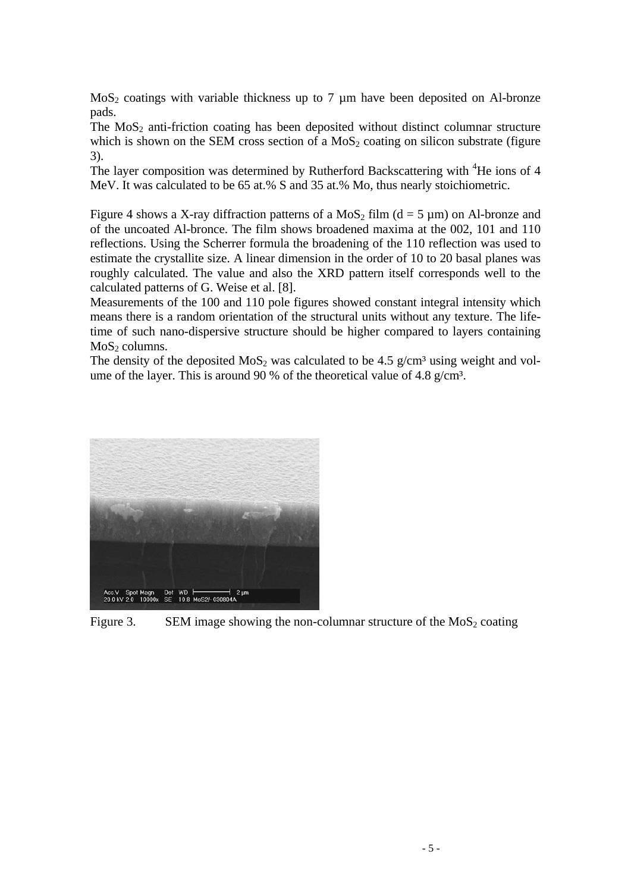$MoS<sub>2</sub>$  coatings with variable thickness up to 7  $\mu$ m have been deposited on Al-bronze pads.

The  $MoS<sub>2</sub>$  anti-friction coating has been deposited without distinct columnar structure which is shown on the SEM cross section of a  $MoS<sub>2</sub>$  coating on silicon substrate (figure 3).

The layer composition was determined by Rutherford Backscattering with <sup>4</sup>He ions of 4 MeV. It was calculated to be 65 at.% S and 35 at.% Mo, thus nearly stoichiometric.

Figure 4 shows a X-ray diffraction patterns of a MoS<sub>2</sub> film ( $d = 5 \mu m$ ) on Al-bronze and of the uncoated Al-bronce. The film shows broadened maxima at the 002, 101 and 110 reflections. Using the Scherrer formula the broadening of the 110 reflection was used to estimate the crystallite size. A linear dimension in the order of 10 to 20 basal planes was roughly calculated. The value and also the XRD pattern itself corresponds well to the calculated patterns of G. Weise et al. [8].

Measurements of the 100 and 110 pole figures showed constant integral intensity which means there is a random orientation of the structural units without any texture. The lifetime of such nano-dispersive structure should be higher compared to layers containing  $MoS<sub>2</sub>$  columns.

The density of the deposited  $MoS_2$  was calculated to be 4.5 g/cm<sup>3</sup> using weight and volume of the layer. This is around 90 % of the theoretical value of 4.8  $g/cm^3$ .



Figure 3. SEM image showing the non-columnar structure of the  $M_0S_2$  coating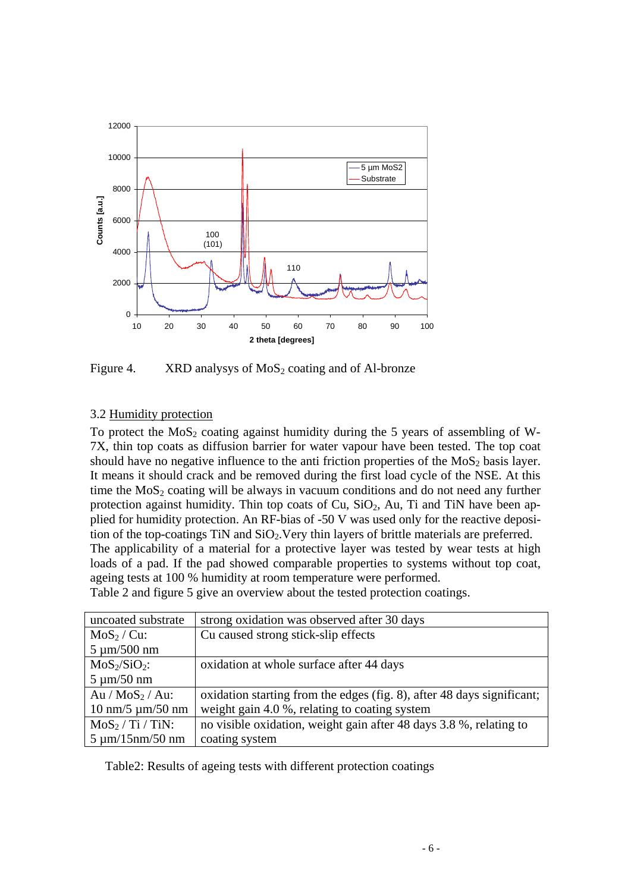

Figure 4. XRD analysys of  $MoS<sub>2</sub>$  coating and of Al-bronze

# 3.2 Humidity protection

To protect the  $MoS<sub>2</sub>$  coating against humidity during the 5 years of assembling of W-7X, thin top coats as diffusion barrier for water vapour have been tested. The top coat should have no negative influence to the anti friction properties of the  $MoS<sub>2</sub>$  basis layer. It means it should crack and be removed during the first load cycle of the NSE. At this time the  $MoS<sub>2</sub>$  coating will be always in vacuum conditions and do not need any further protection against humidity. Thin top coats of Cu,  $SiO<sub>2</sub>$ , Au, Ti and TiN have been applied for humidity protection. An RF-bias of -50 V was used only for the reactive deposition of the top-coatings  $TiN$  and  $SiO<sub>2</sub>$ . Very thin layers of brittle materials are preferred. The applicability of a material for a protective layer was tested by wear tests at high loads of a pad. If the pad showed comparable properties to systems without top coat, ageing tests at 100 % humidity at room temperature were performed.

Table 2 and figure 5 give an overview about the tested protection coatings.

| uncoated substrate                         | strong oxidation was observed after 30 days                            |  |
|--------------------------------------------|------------------------------------------------------------------------|--|
| $MoS2/Cu$ :                                | Cu caused strong stick-slip effects                                    |  |
| $5 \mu m/500 nm$                           |                                                                        |  |
| $MoS_2/SiO_2$ :                            | oxidation at whole surface after 44 days                               |  |
| $5 \mu m/50 nm$                            |                                                                        |  |
| $Au / MoS_2 / Au$ :                        | oxidation starting from the edges (fig. 8), after 48 days significant; |  |
| $10 \text{ nm}/5 \text{ µm}/50 \text{ nm}$ | weight gain 4.0 %, relating to coating system                          |  |
| $MoS2/Ti /TiN$ :                           | no visible oxidation, weight gain after 48 days 3.8 %, relating to     |  |
| $5 \mu m/15 nm/50 nm$                      | coating system                                                         |  |

Table2: Results of ageing tests with different protection coatings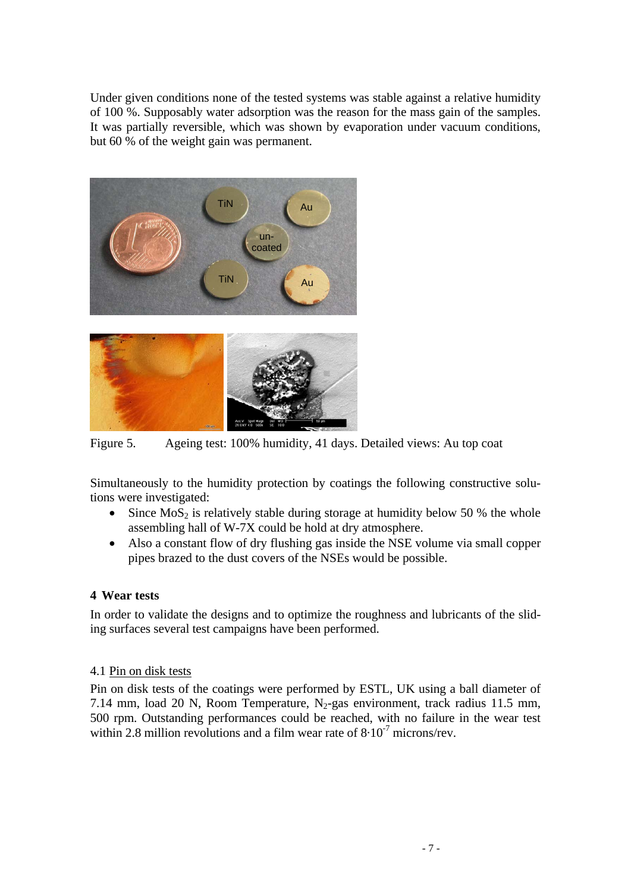Under given conditions none of the tested systems was stable against a relative humidity of 100 %. Supposably water adsorption was the reason for the mass gain of the samples. It was partially reversible, which was shown by evaporation under vacuum conditions, but 60 % of the weight gain was permanent.





Figure 5. Ageing test: 100% humidity, 41 days. Detailed views: Au top coat

Simultaneously to the humidity protection by coatings the following constructive solutions were investigated:

- Since  $MoS<sub>2</sub>$  is relatively stable during storage at humidity below 50 % the whole assembling hall of W-7X could be hold at dry atmosphere.
- Also a constant flow of dry flushing gas inside the NSE volume via small copper pipes brazed to the dust covers of the NSEs would be possible.

# **4 Wear tests**

In order to validate the designs and to optimize the roughness and lubricants of the sliding surfaces several test campaigns have been performed.

### 4.1 Pin on disk tests

Pin on disk tests of the coatings were performed by ESTL, UK using a ball diameter of 7.14 mm, load 20 N, Room Temperature,  $N_2$ -gas environment, track radius 11.5 mm, 500 rpm. Outstanding performances could be reached, with no failure in the wear test within 2.8 million revolutions and a film wear rate of  $8.10^{-7}$  microns/rev.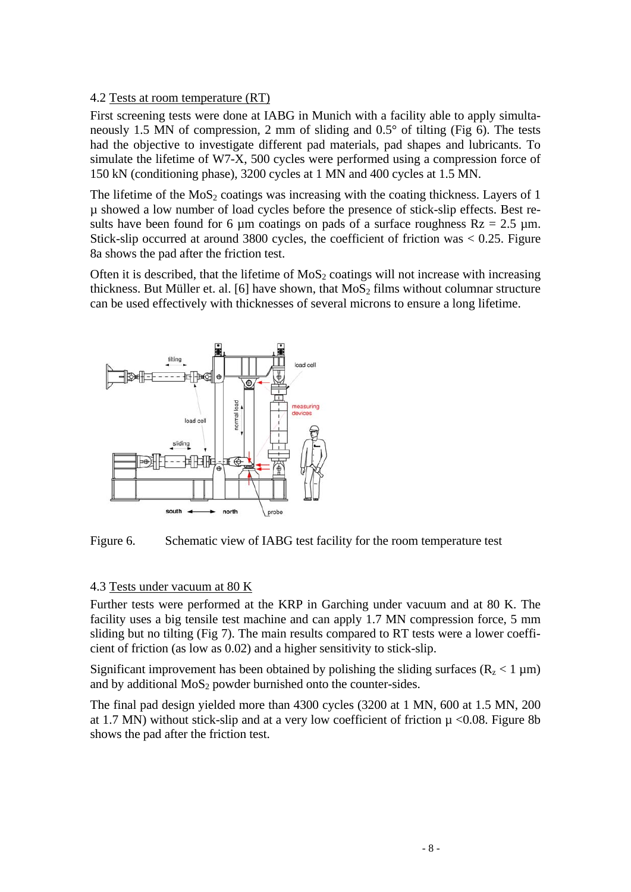# 4.2 Tests at room temperature (RT)

First screening tests were done at IABG in Munich with a facility able to apply simultaneously 1.5 MN of compression, 2 mm of sliding and 0.5° of tilting (Fig 6). The tests had the objective to investigate different pad materials, pad shapes and lubricants. To simulate the lifetime of W7-X, 500 cycles were performed using a compression force of 150 kN (conditioning phase), 3200 cycles at 1 MN and 400 cycles at 1.5 MN.

The lifetime of the  $MoS<sub>2</sub>$  coatings was increasing with the coating thickness. Layers of 1 µ showed a low number of load cycles before the presence of stick-slip effects. Best results have been found for 6 µm coatings on pads of a surface roughness  $Rz = 2.5 \mu m$ . Stick-slip occurred at around 3800 cycles, the coefficient of friction was < 0.25. Figure 8a shows the pad after the friction test.

Often it is described, that the lifetime of  $MoS<sub>2</sub>$  coatings will not increase with increasing thickness. But Müller et. al. [6] have shown, that  $MoS<sub>2</sub>$  films without columnar structure can be used effectively with thicknesses of several microns to ensure a long lifetime.





### 4.3 Tests under vacuum at 80 K

Further tests were performed at the KRP in Garching under vacuum and at 80 K. The facility uses a big tensile test machine and can apply 1.7 MN compression force, 5 mm sliding but no tilting (Fig 7). The main results compared to RT tests were a lower coefficient of friction (as low as 0.02) and a higher sensitivity to stick-slip.

Significant improvement has been obtained by polishing the sliding surfaces ( $R_z < 1 \mu m$ ) and by additional  $MoS<sub>2</sub>$  powder burnished onto the counter-sides.

The final pad design yielded more than 4300 cycles (3200 at 1 MN, 600 at 1.5 MN, 200 at 1.7 MN) without stick-slip and at a very low coefficient of friction  $\mu$  <0.08. Figure 8b shows the pad after the friction test.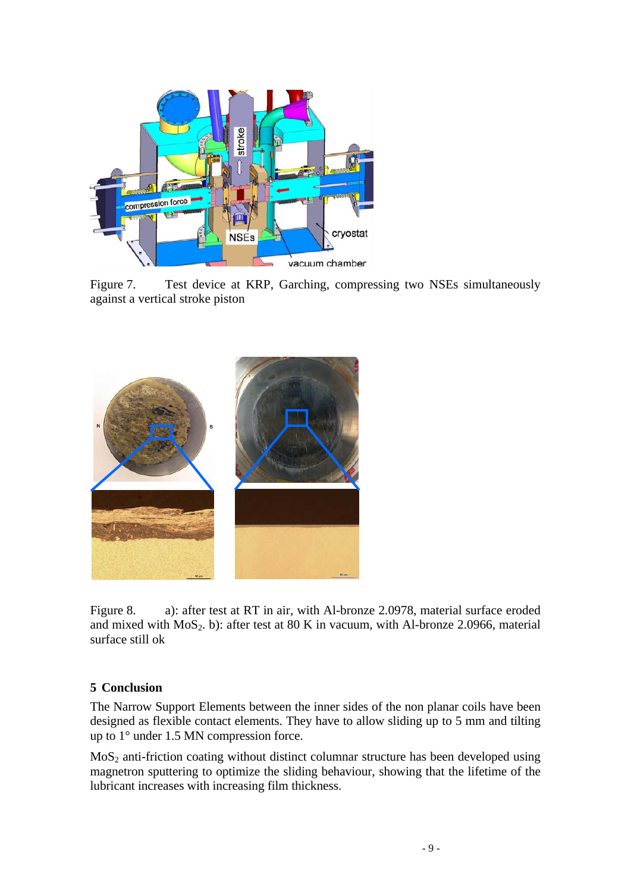

Figure 7. Test device at KRP, Garching, compressing two NSEs simultaneously against a vertical stroke piston



Figure 8. a): after test at RT in air, with Al-bronze 2.0978, material surface eroded and mixed with  $MoS_2$ . b): after test at 80 K in vacuum, with Al-bronze 2.0966, material surface still ok

# **5 Conclusion**

The Narrow Support Elements between the inner sides of the non planar coils have been designed as flexible contact elements. They have to allow sliding up to 5 mm and tilting up to 1° under 1.5 MN compression force.

MoS2 anti-friction coating without distinct columnar structure has been developed using magnetron sputtering to optimize the sliding behaviour, showing that the lifetime of the lubricant increases with increasing film thickness.